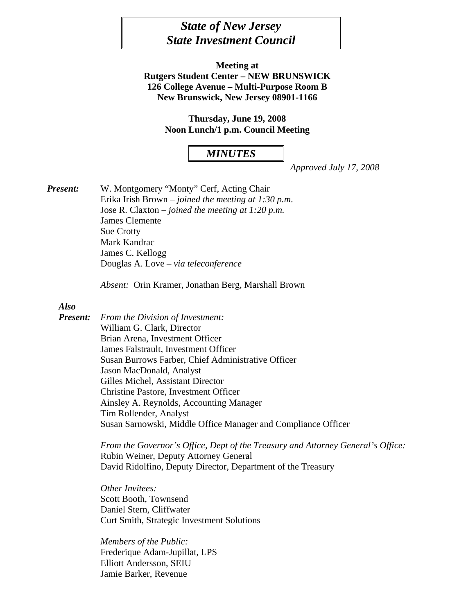# *State of New Jersey State Investment Council*

**Meeting at Rutgers Student Center – NEW BRUNSWICK 126 College Avenue – Multi-Purpose Room B New Brunswick, New Jersey 08901-1166** 

> **Thursday, June 19, 2008 Noon Lunch/1 p.m. Council Meeting**

### *MINUTES*

*Approved July 17, 2008* 

*Present:* W. Montgomery "Monty" Cerf, Acting Chair Erika Irish Brown – *joined the meeting at 1:30 p.m*. Jose R. Claxton – *joined the meeting at 1:20 p.m.* James Clemente Sue Crotty Mark Kandrac James C. Kellogg Douglas A. Love *– via teleconference* 

 *Absent:* Orin Kramer, Jonathan Berg, Marshall Brown

#### *Also*

*Present: From the Division of Investment:*  William G. Clark, Director Brian Arena, Investment Officer James Falstrault, Investment Officer Susan Burrows Farber, Chief Administrative Officer Jason MacDonald, Analyst Gilles Michel, Assistant Director Christine Pastore, Investment Officer Ainsley A. Reynolds, Accounting Manager Tim Rollender, Analyst Susan Sarnowski, Middle Office Manager and Compliance Officer

> *From the Governor's Office, Dept of the Treasury and Attorney General's Office:*  Rubin Weiner, Deputy Attorney General David Ridolfino, Deputy Director, Department of the Treasury

*Other Invitees:*  Scott Booth, Townsend Daniel Stern, Cliffwater Curt Smith, Strategic Investment Solutions

 *Members of the Public:* Frederique Adam-Jupillat, LPS Elliott Andersson, SEIU Jamie Barker, Revenue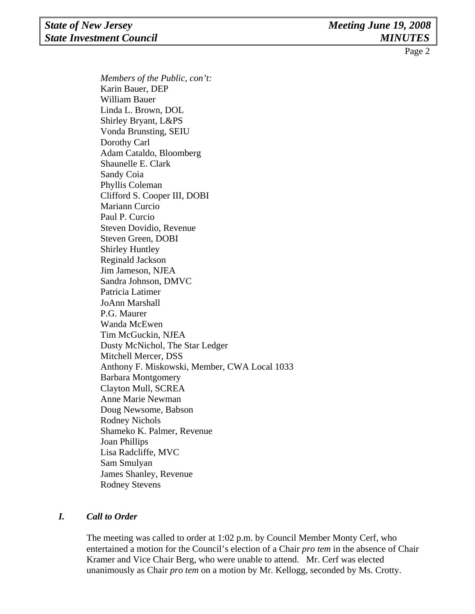### **State of New Jersey Contract Contract Contract Contract Contract Meeting June 19, 2008** *State Investment Council MINUTES*

Page 2

*Members of the Public, con't:*  Karin Bauer, DEP William Bauer Linda L. Brown, DOL Shirley Bryant, L&PS Vonda Brunsting, SEIU Dorothy Carl Adam Cataldo, Bloomberg Shaunelle E. Clark Sandy Coia Phyllis Coleman Clifford S. Cooper III, DOBI Mariann Curcio Paul P. Curcio Steven Dovidio, Revenue Steven Green, DOBI Shirley Huntley Reginald Jackson Jim Jameson, NJEA Sandra Johnson, DMVC Patricia Latimer JoAnn Marshall P.G. Maurer Wanda McEwen Tim McGuckin, NJEA Dusty McNichol*,* The Star Ledger Mitchell Mercer, DSS Anthony F. Miskowski, Member, CWA Local 1033 Barbara Montgomery Clayton Mull, SCREA Anne Marie Newman Doug Newsome, Babson Rodney Nichols Shameko K. Palmer, Revenue Joan Phillips Lisa Radcliffe, MVC Sam Smulyan James Shanley, Revenue Rodney Stevens

# *I. Call to Order*

The meeting was called to order at 1:02 p.m. by Council Member Monty Cerf, who entertained a motion for the Council's election of a Chair *pro tem* in the absence of Chair Kramer and Vice Chair Berg, who were unable to attend. Mr. Cerf was elected unanimously as Chair *pro tem* on a motion by Mr. Kellogg, seconded by Ms. Crotty.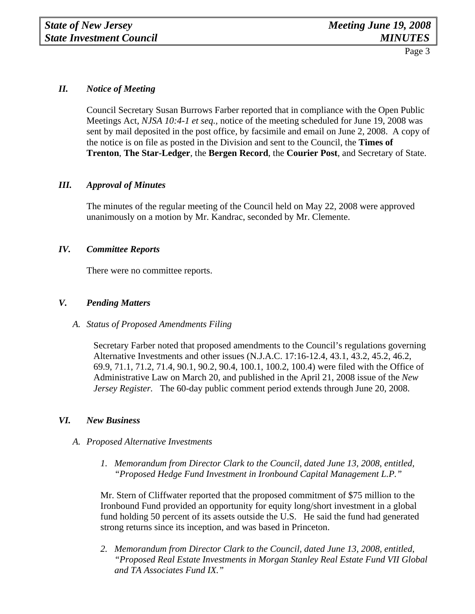#### *II. Notice of Meeting*

 Council Secretary Susan Burrows Farber reported that in compliance with the Open Public Meetings Act, *NJSA 10:4-1 et seq.,* notice of the meeting scheduled for June 19, 2008 was sent by mail deposited in the post office, by facsimile and email on June 2, 2008. A copy of the notice is on file as posted in the Division and sent to the Council, the **Times of Trenton**, **The Star-Ledger**, the **Bergen Record**, the **Courier Post**, and Secretary of State.

#### *III. Approval of Minutes*

The minutes of the regular meeting of the Council held on May 22, 2008 were approved unanimously on a motion by Mr. Kandrac, seconded by Mr. Clemente.

#### *IV. Committee Reports*

There were no committee reports.

#### *V. Pending Matters*

#### *A. Status of Proposed Amendments Filing*

Secretary Farber noted that proposed amendments to the Council's regulations governing Alternative Investments and other issues (N.J.A.C. 17:16-12.4, 43.1, 43.2, 45.2, 46.2, 69.9, 71.1, 71.2, 71.4, 90.1, 90.2, 90.4, 100.1, 100.2, 100.4) were filed with the Office of Administrative Law on March 20, and published in the April 21, 2008 issue of the *New Jersey Register.* The 60-day public comment period extends through June 20, 2008.

### *VI. New Business*

#### *A. Proposed Alternative Investments*

*1. Memorandum from Director Clark to the Council, dated June 13, 2008, entitled, "Proposed Hedge Fund Investment in Ironbound Capital Management L.P."* 

Mr. Stern of Cliffwater reported that the proposed commitment of \$75 million to the Ironbound Fund provided an opportunity for equity long/short investment in a global fund holding 50 percent of its assets outside the U.S. He said the fund had generated strong returns since its inception, and was based in Princeton.

*2. Memorandum from Director Clark to the Council, dated June 13, 2008, entitled, "Proposed Real Estate Investments in Morgan Stanley Real Estate Fund VII Global and TA Associates Fund IX."*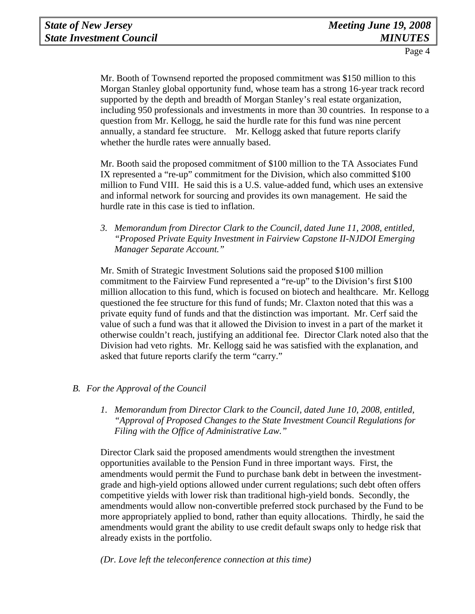Mr. Booth of Townsend reported the proposed commitment was \$150 million to this Morgan Stanley global opportunity fund, whose team has a strong 16-year track record supported by the depth and breadth of Morgan Stanley's real estate organization, including 950 professionals and investments in more than 30 countries. In response to a question from Mr. Kellogg, he said the hurdle rate for this fund was nine percent annually, a standard fee structure. Mr. Kellogg asked that future reports clarify whether the hurdle rates were annually based.

Mr. Booth said the proposed commitment of \$100 million to the TA Associates Fund IX represented a "re-up" commitment for the Division, which also committed \$100 million to Fund VIII. He said this is a U.S. value-added fund, which uses an extensive and informal network for sourcing and provides its own management. He said the hurdle rate in this case is tied to inflation.

*3. Memorandum from Director Clark to the Council, dated June 11, 2008, entitled, "Proposed Private Equity Investment in Fairview Capstone II-NJDOI Emerging Manager Separate Account."* 

Mr. Smith of Strategic Investment Solutions said the proposed \$100 million commitment to the Fairview Fund represented a "re-up" to the Division's first \$100 million allocation to this fund, which is focused on biotech and healthcare. Mr. Kellogg questioned the fee structure for this fund of funds; Mr. Claxton noted that this was a private equity fund of funds and that the distinction was important. Mr. Cerf said the value of such a fund was that it allowed the Division to invest in a part of the market it otherwise couldn't reach, justifying an additional fee. Director Clark noted also that the Division had veto rights. Mr. Kellogg said he was satisfied with the explanation, and asked that future reports clarify the term "carry."

### *B. For the Approval of the Council*

*1. Memorandum from Director Clark to the Council, dated June 10, 2008, entitled, "Approval of Proposed Changes to the State Investment Council Regulations for Filing with the Office of Administrative Law."* 

Director Clark said the proposed amendments would strengthen the investment opportunities available to the Pension Fund in three important ways. First, the amendments would permit the Fund to purchase bank debt in between the investmentgrade and high-yield options allowed under current regulations; such debt often offers competitive yields with lower risk than traditional high-yield bonds. Secondly, the amendments would allow non-convertible preferred stock purchased by the Fund to be more appropriately applied to bond, rather than equity allocations. Thirdly, he said the amendments would grant the ability to use credit default swaps only to hedge risk that already exists in the portfolio.

*(Dr. Love left the teleconference connection at this time)*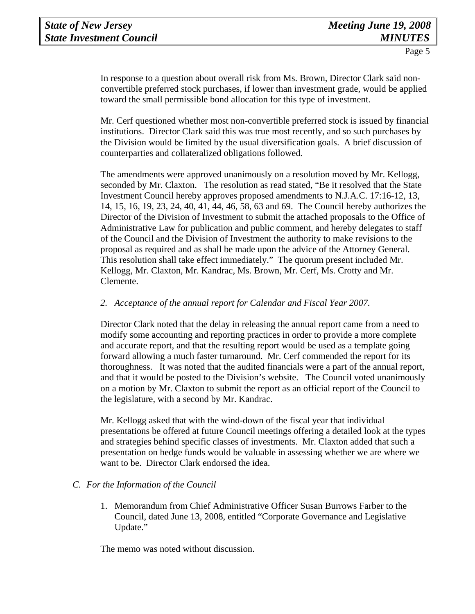In response to a question about overall risk from Ms. Brown, Director Clark said nonconvertible preferred stock purchases, if lower than investment grade, would be applied toward the small permissible bond allocation for this type of investment.

Mr. Cerf questioned whether most non-convertible preferred stock is issued by financial institutions. Director Clark said this was true most recently, and so such purchases by the Division would be limited by the usual diversification goals. A brief discussion of counterparties and collateralized obligations followed.

The amendments were approved unanimously on a resolution moved by Mr. Kellogg, seconded by Mr. Claxton. The resolution as read stated, "Be it resolved that the State Investment Council hereby approves proposed amendments to N.J.A.C. 17:16-12, 13, 14, 15, 16, 19, 23, 24, 40, 41, 44, 46, 58, 63 and 69. The Council hereby authorizes the Director of the Division of Investment to submit the attached proposals to the Office of Administrative Law for publication and public comment, and hereby delegates to staff of the Council and the Division of Investment the authority to make revisions to the proposal as required and as shall be made upon the advice of the Attorney General. This resolution shall take effect immediately." The quorum present included Mr. Kellogg, Mr. Claxton, Mr. Kandrac, Ms. Brown, Mr. Cerf, Ms. Crotty and Mr. Clemente.

### *2. Acceptance of the annual report for Calendar and Fiscal Year 2007.*

Director Clark noted that the delay in releasing the annual report came from a need to modify some accounting and reporting practices in order to provide a more complete and accurate report, and that the resulting report would be used as a template going forward allowing a much faster turnaround. Mr. Cerf commended the report for its thoroughness. It was noted that the audited financials were a part of the annual report, and that it would be posted to the Division's website. The Council voted unanimously on a motion by Mr. Claxton to submit the report as an official report of the Council to the legislature, with a second by Mr. Kandrac.

Mr. Kellogg asked that with the wind-down of the fiscal year that individual presentations be offered at future Council meetings offering a detailed look at the types and strategies behind specific classes of investments. Mr. Claxton added that such a presentation on hedge funds would be valuable in assessing whether we are where we want to be. Director Clark endorsed the idea.

# *C. For the Information of the Council*

1. Memorandum from Chief Administrative Officer Susan Burrows Farber to the Council, dated June 13, 2008, entitled "Corporate Governance and Legislative Update."

The memo was noted without discussion.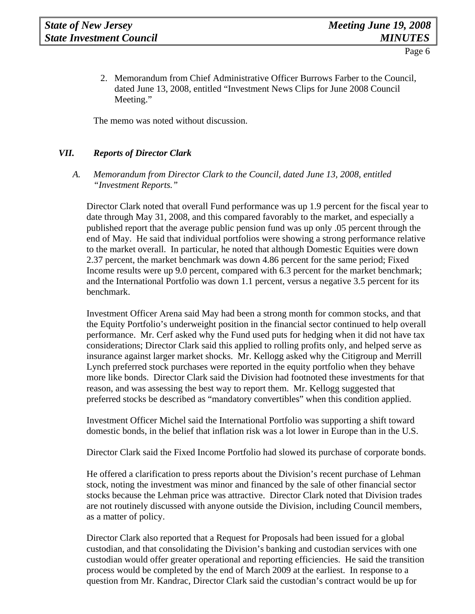2. Memorandum from Chief Administrative Officer Burrows Farber to the Council, dated June 13, 2008, entitled "Investment News Clips for June 2008 Council Meeting."

The memo was noted without discussion.

### *VII. Reports of Director Clark*

*A. Memorandum from Director Clark to the Council, dated June 13, 2008, entitled "Investment Reports."* 

Director Clark noted that overall Fund performance was up 1.9 percent for the fiscal year to date through May 31, 2008, and this compared favorably to the market, and especially a published report that the average public pension fund was up only .05 percent through the end of May. He said that individual portfolios were showing a strong performance relative to the market overall. In particular, he noted that although Domestic Equities were down 2.37 percent, the market benchmark was down 4.86 percent for the same period; Fixed Income results were up 9.0 percent, compared with 6.3 percent for the market benchmark; and the International Portfolio was down 1.1 percent, versus a negative 3.5 percent for its benchmark.

 Investment Officer Arena said May had been a strong month for common stocks, and that the Equity Portfolio's underweight position in the financial sector continued to help overall performance. Mr. Cerf asked why the Fund used puts for hedging when it did not have tax considerations; Director Clark said this applied to rolling profits only, and helped serve as insurance against larger market shocks. Mr. Kellogg asked why the Citigroup and Merrill Lynch preferred stock purchases were reported in the equity portfolio when they behave more like bonds. Director Clark said the Division had footnoted these investments for that reason, and was assessing the best way to report them. Mr. Kellogg suggested that preferred stocks be described as "mandatory convertibles" when this condition applied.

 Investment Officer Michel said the International Portfolio was supporting a shift toward domestic bonds, in the belief that inflation risk was a lot lower in Europe than in the U.S.

Director Clark said the Fixed Income Portfolio had slowed its purchase of corporate bonds.

 He offered a clarification to press reports about the Division's recent purchase of Lehman stock, noting the investment was minor and financed by the sale of other financial sector stocks because the Lehman price was attractive. Director Clark noted that Division trades are not routinely discussed with anyone outside the Division, including Council members, as a matter of policy.

 Director Clark also reported that a Request for Proposals had been issued for a global custodian, and that consolidating the Division's banking and custodian services with one custodian would offer greater operational and reporting efficiencies. He said the transition process would be completed by the end of March 2009 at the earliest. In response to a question from Mr. Kandrac, Director Clark said the custodian's contract would be up for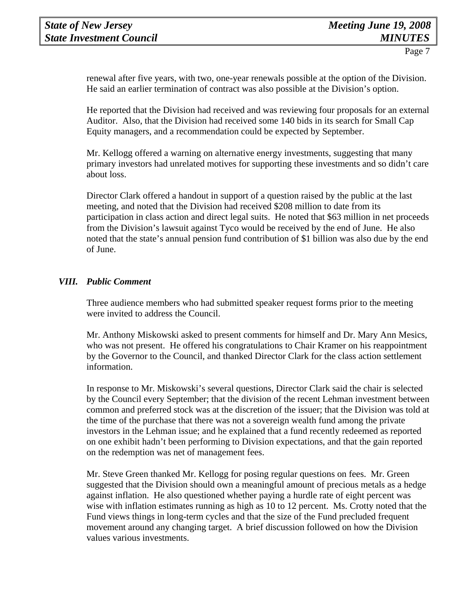renewal after five years, with two, one-year renewals possible at the option of the Division. He said an earlier termination of contract was also possible at the Division's option.

 He reported that the Division had received and was reviewing four proposals for an external Auditor. Also, that the Division had received some 140 bids in its search for Small Cap Equity managers, and a recommendation could be expected by September.

 Mr. Kellogg offered a warning on alternative energy investments, suggesting that many primary investors had unrelated motives for supporting these investments and so didn't care about loss.

 Director Clark offered a handout in support of a question raised by the public at the last meeting, and noted that the Division had received \$208 million to date from its participation in class action and direct legal suits. He noted that \$63 million in net proceeds from the Division's lawsuit against Tyco would be received by the end of June. He also noted that the state's annual pension fund contribution of \$1 billion was also due by the end of June.

### *VIII. Public Comment*

Three audience members who had submitted speaker request forms prior to the meeting were invited to address the Council.

Mr. Anthony Miskowski asked to present comments for himself and Dr. Mary Ann Mesics, who was not present. He offered his congratulations to Chair Kramer on his reappointment by the Governor to the Council, and thanked Director Clark for the class action settlement information.

In response to Mr. Miskowski's several questions, Director Clark said the chair is selected by the Council every September; that the division of the recent Lehman investment between common and preferred stock was at the discretion of the issuer; that the Division was told at the time of the purchase that there was not a sovereign wealth fund among the private investors in the Lehman issue; and he explained that a fund recently redeemed as reported on one exhibit hadn't been performing to Division expectations, and that the gain reported on the redemption was net of management fees.

Mr. Steve Green thanked Mr. Kellogg for posing regular questions on fees. Mr. Green suggested that the Division should own a meaningful amount of precious metals as a hedge against inflation. He also questioned whether paying a hurdle rate of eight percent was wise with inflation estimates running as high as 10 to 12 percent. Ms. Crotty noted that the Fund views things in long-term cycles and that the size of the Fund precluded frequent movement around any changing target. A brief discussion followed on how the Division values various investments.